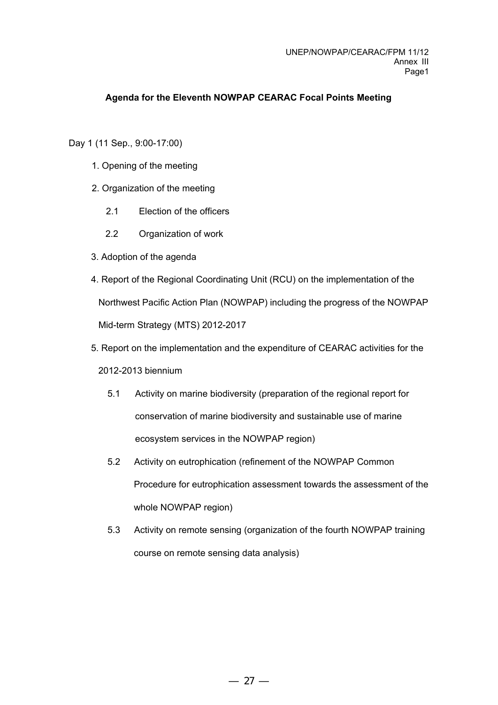## **Agenda for the Eleventh NOWPAP CEARAC Focal Points Meeting**

Day 1 (11 Sep., 9:00-17:00)

- 1. Opening of the meeting
- 2. Organization of the meeting
	- 2.1 Election of the officers
	- 2.2 Organization of work
- 3. Adoption of the agenda
- 4. Report of the Regional Coordinating Unit (RCU) on the implementation of the Northwest Pacific Action Plan (NOWPAP) including the progress of the NOWPAP Mid-term Strategy (MTS) 2012-2017
- 5. Report on the implementation and the expenditure of CEARAC activities for the

## 2012-2013 biennium

- 5.1 Activity on marine biodiversity (preparation of the regional report for conservation of marine biodiversity and sustainable use of marine ecosystem services in the NOWPAP region)
- 5.2 Activity on eutrophication (refinement of the NOWPAP Common Procedure for eutrophication assessment towards the assessment of the whole NOWPAP region)
- 5.3 Activity on remote sensing (organization of the fourth NOWPAP training course on remote sensing data analysis)